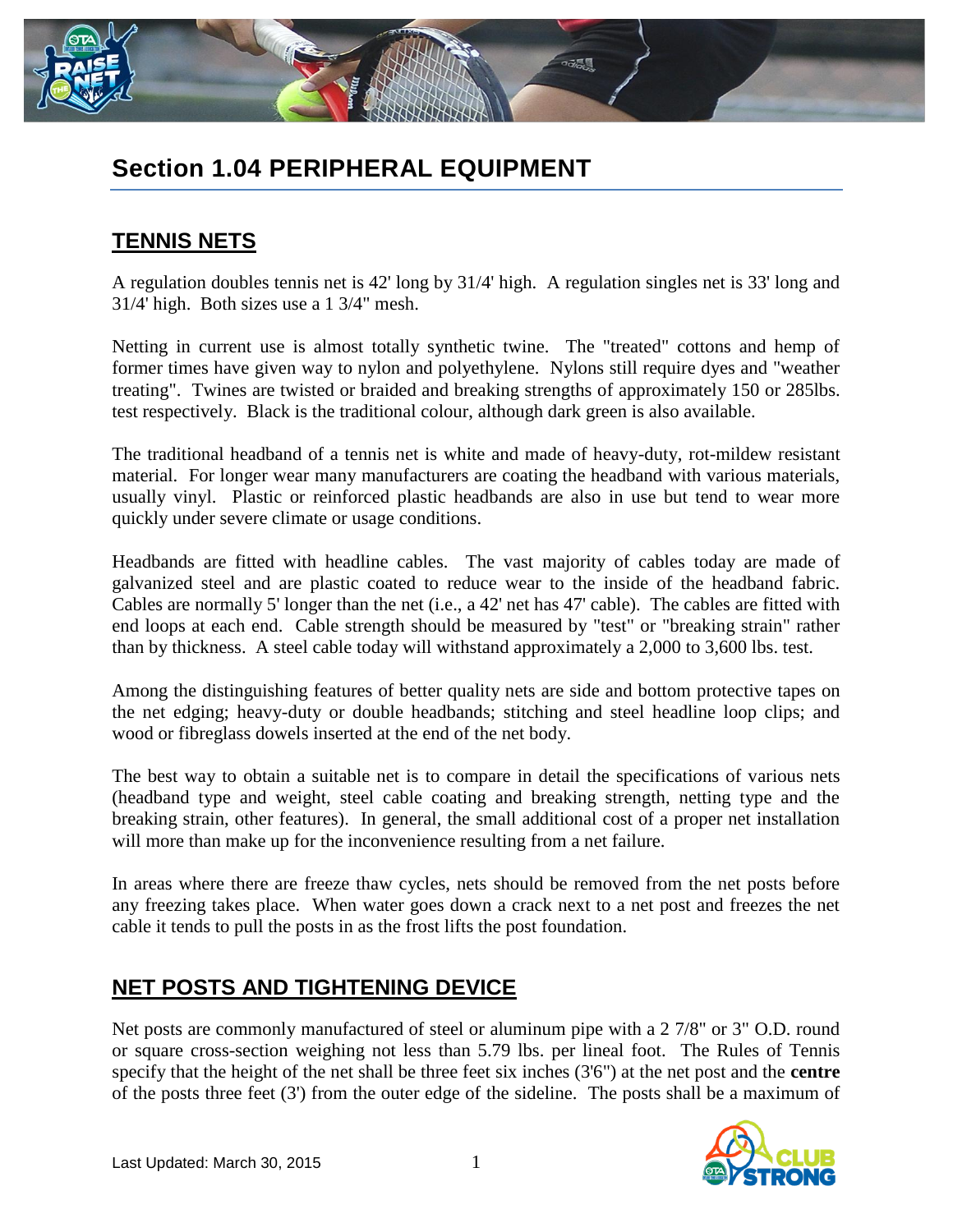

# **Section 1.04 PERIPHERAL EQUIPMENT**

## **TENNIS NETS**

A regulation doubles tennis net is 42' long by 31/4' high. A regulation singles net is 33' long and 31/4' high. Both sizes use a 1 3/4" mesh.

Netting in current use is almost totally synthetic twine. The "treated" cottons and hemp of former times have given way to nylon and polyethylene. Nylons still require dyes and "weather treating". Twines are twisted or braided and breaking strengths of approximately 150 or 285lbs. test respectively. Black is the traditional colour, although dark green is also available.

The traditional headband of a tennis net is white and made of heavy-duty, rot-mildew resistant material. For longer wear many manufacturers are coating the headband with various materials, usually vinyl. Plastic or reinforced plastic headbands are also in use but tend to wear more quickly under severe climate or usage conditions.

Headbands are fitted with headline cables. The vast majority of cables today are made of galvanized steel and are plastic coated to reduce wear to the inside of the headband fabric. Cables are normally 5' longer than the net (i.e., a 42' net has 47' cable). The cables are fitted with end loops at each end. Cable strength should be measured by "test" or "breaking strain" rather than by thickness. A steel cable today will withstand approximately a 2,000 to 3,600 lbs. test.

Among the distinguishing features of better quality nets are side and bottom protective tapes on the net edging; heavy-duty or double headbands; stitching and steel headline loop clips; and wood or fibreglass dowels inserted at the end of the net body.

The best way to obtain a suitable net is to compare in detail the specifications of various nets (headband type and weight, steel cable coating and breaking strength, netting type and the breaking strain, other features). In general, the small additional cost of a proper net installation will more than make up for the inconvenience resulting from a net failure.

In areas where there are freeze thaw cycles, nets should be removed from the net posts before any freezing takes place. When water goes down a crack next to a net post and freezes the net cable it tends to pull the posts in as the frost lifts the post foundation.

### **NET POSTS AND TIGHTENING DEVICE**

Net posts are commonly manufactured of steel or aluminum pipe with a 2 7/8" or 3" O.D. round or square cross-section weighing not less than 5.79 lbs. per lineal foot. The Rules of Tennis specify that the height of the net shall be three feet six inches (3'6") at the net post and the **centre** of the posts three feet (3') from the outer edge of the sideline. The posts shall be a maximum of

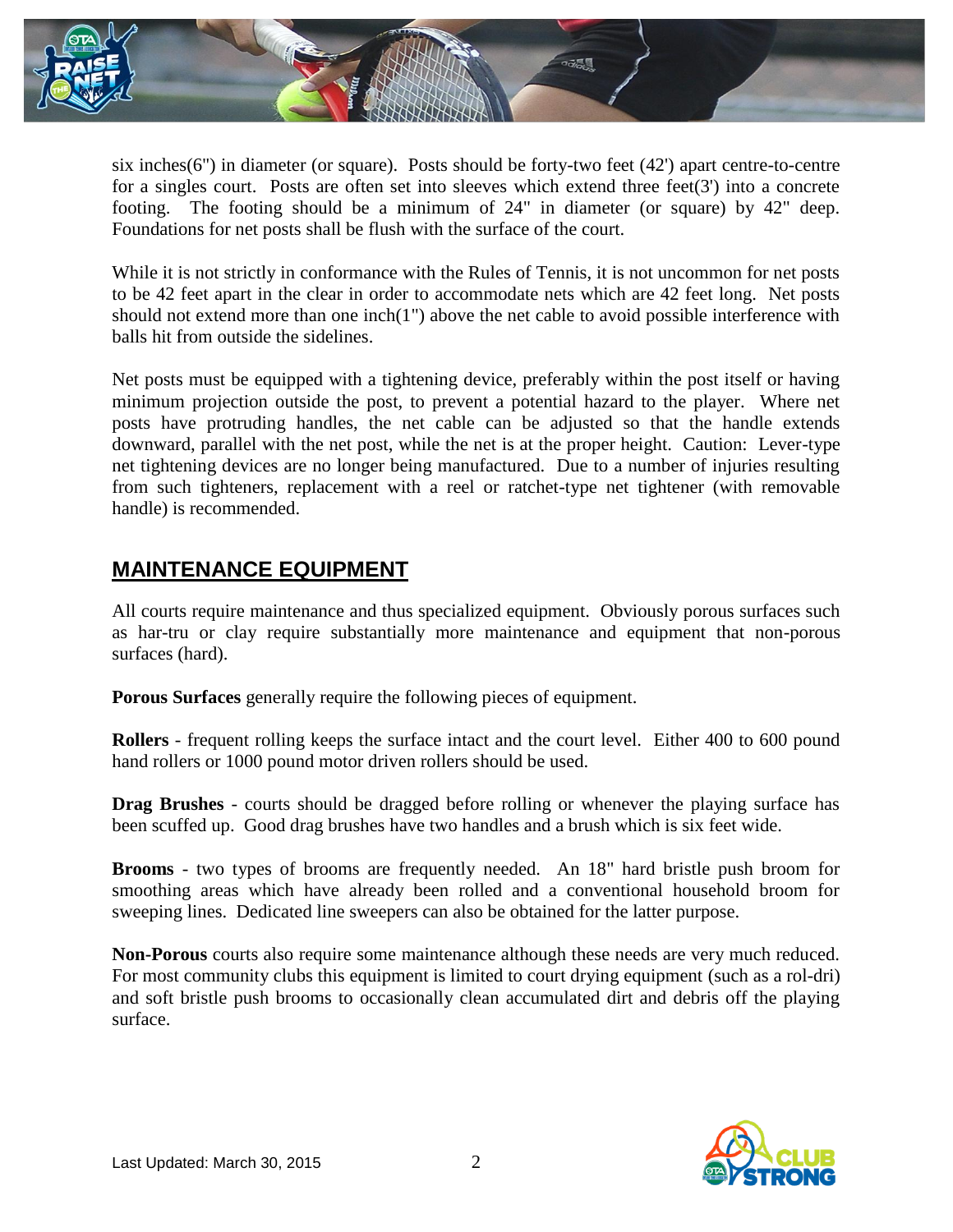

six inches(6") in diameter (or square). Posts should be forty-two feet (42') apart centre-to-centre for a singles court. Posts are often set into sleeves which extend three feet $(3')$  into a concrete footing. The footing should be a minimum of 24" in diameter (or square) by 42" deep. Foundations for net posts shall be flush with the surface of the court.

While it is not strictly in conformance with the Rules of Tennis, it is not uncommon for net posts to be 42 feet apart in the clear in order to accommodate nets which are 42 feet long. Net posts should not extend more than one inch(1") above the net cable to avoid possible interference with balls hit from outside the sidelines.

Net posts must be equipped with a tightening device, preferably within the post itself or having minimum projection outside the post, to prevent a potential hazard to the player. Where net posts have protruding handles, the net cable can be adjusted so that the handle extends downward, parallel with the net post, while the net is at the proper height. Caution: Lever-type net tightening devices are no longer being manufactured. Due to a number of injuries resulting from such tighteners, replacement with a reel or ratchet-type net tightener (with removable handle) is recommended.

#### **MAINTENANCE EQUIPMENT**

All courts require maintenance and thus specialized equipment. Obviously porous surfaces such as har-tru or clay require substantially more maintenance and equipment that non-porous surfaces (hard).

**Porous Surfaces** generally require the following pieces of equipment.

**Rollers** - frequent rolling keeps the surface intact and the court level. Either 400 to 600 pound hand rollers or 1000 pound motor driven rollers should be used.

**Drag Brushes** - courts should be dragged before rolling or whenever the playing surface has been scuffed up. Good drag brushes have two handles and a brush which is six feet wide.

**Brooms** - two types of brooms are frequently needed. An 18" hard bristle push broom for smoothing areas which have already been rolled and a conventional household broom for sweeping lines. Dedicated line sweepers can also be obtained for the latter purpose.

**Non-Porous** courts also require some maintenance although these needs are very much reduced. For most community clubs this equipment is limited to court drying equipment (such as a rol-dri) and soft bristle push brooms to occasionally clean accumulated dirt and debris off the playing surface.